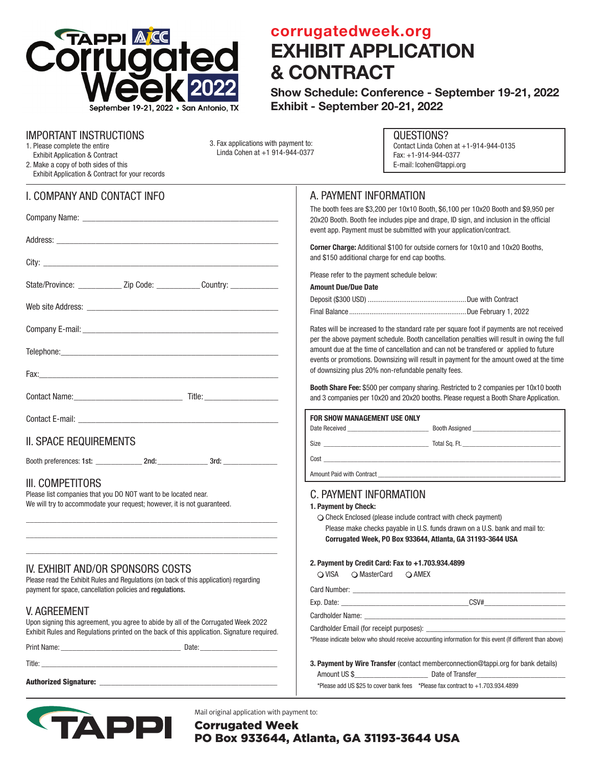

## corrugatedweek.org EXHIBIT APPLICATION & CONTRACT

Show Schedule: Conference - September 19-21, 2022 Exhibit - September 20-21, 2022

#### IMPORTANT INSTRUCTIONS

- 1. Please complete the entire Exhibit Application & Contract
- 2. Make a copy of both sides of this Exhibit Application & Contract for your records

I. COMPANY AND CONTACT INFO

| State/Province: ________________ Zip Code: ______________ Country: _____________                                                                              |  |  |
|---------------------------------------------------------------------------------------------------------------------------------------------------------------|--|--|
|                                                                                                                                                               |  |  |
|                                                                                                                                                               |  |  |
|                                                                                                                                                               |  |  |
|                                                                                                                                                               |  |  |
|                                                                                                                                                               |  |  |
|                                                                                                                                                               |  |  |
| <b>II. SPACE REQUIREMENTS</b>                                                                                                                                 |  |  |
|                                                                                                                                                               |  |  |
| III. COMPETITORS<br>Please list companies that you DO NOT want to be located near.<br>We will try to accommodate your request; however, it is not guaranteed. |  |  |

## IV. EXHIBIT AND/OR SPONSORS COSTS

Please read the Exhibit Rules and Regulations (on back of this application) regarding payment for space, cancellation policies and regulations.

\_\_\_\_\_\_\_\_\_\_\_\_\_\_\_\_\_\_\_\_\_\_\_\_\_\_\_\_\_\_\_\_\_\_\_\_\_\_\_\_\_\_\_\_\_\_\_\_\_\_\_\_\_\_\_\_\_\_\_\_\_\_\_\_\_  $\mathcal{L}_\text{max}$  and  $\mathcal{L}_\text{max}$  and  $\mathcal{L}_\text{max}$  and  $\mathcal{L}_\text{max}$  and  $\mathcal{L}_\text{max}$  and  $\mathcal{L}_\text{max}$  $\mathcal{L}_\text{max}$  and  $\mathcal{L}_\text{max}$  and  $\mathcal{L}_\text{max}$  and  $\mathcal{L}_\text{max}$  and  $\mathcal{L}_\text{max}$  and  $\mathcal{L}_\text{max}$ 

## V. AGREEMENT

Upon signing this agreement, you agree to abide by all of the Corrugated Week 2022 Exhibit Rules and Regulations printed on the back of this application. Signature required.

Print Name: example and the set of the Date:

Title: \_\_\_\_\_\_\_\_\_\_\_\_\_\_\_\_\_\_\_\_\_\_\_\_\_\_\_\_\_\_\_\_\_\_\_\_\_\_\_\_\_\_\_\_\_\_\_\_\_\_\_\_\_\_\_\_\_\_\_\_\_

Authorized Signature:



Mail original application with payment to:

Corrugated Week PO Box 933644, Atlanta, GA 31193-3644 USA

#### QUESTIONS? Contact Linda Cohen at +1-914-944-0135

Fax: +1-914-944-0377 E-mail: lcohen@tappi.org

## A. PAYMENT INFORMATION

The booth fees are \$3,200 per 10x10 Booth, \$6,100 per 10x20 Booth and \$9,950 per 20x20 Booth. Booth fee includes pipe and drape, ID sign, and inclusion in the official event app. Payment must be submitted with your application/contract.

Corner Charge: Additional \$100 for outside corners for 10x10 and 10x20 Booths, and \$150 additional charge for end cap booths.

Please refer to the payment schedule below:

Amount Due/Due Date

3. Fax applications with payment to: Linda Cohen at +1 914-944-0377

Rates will be increased to the standard rate per square foot if payments are not received per the above payment schedule. Booth cancellation penalties will result in owing the full amount due at the time of cancellation and can not be transfered or applied to future events or promotions. Downsizing will result in payment for the amount owed at the time of downsizing plus 20% non-refundable penalty fees.

Booth Share Fee: \$500 per company sharing. Restricted to 2 companies per 10x10 booth and 3 companies per 10x20 and 20x20 booths. Please request a Booth Share Application.

| FOR SHOW MANAGEMENT USE ONLY                   |               |
|------------------------------------------------|---------------|
|                                                |               |
| Size <u>__________________________________</u> | Total Sq. Ft. |
|                                                |               |
|                                                |               |
|                                                |               |

#### C. PAYMENT INFORMATION

#### 1. Payment by Check:

 $\bigcirc$  Check Enclosed (please include contract with check payment) Please make checks payable in U.S. funds drawn on a U.S. bank and mail to: Corrugated Week, PO Box 933644, Atlanta, GA 31193-3644 USA

#### 2. Payment by Credit Card: Fax to +1.703.934.4899

| $\bigcirc$ VISA | ○ MasterCard | $\bigcirc$ AMEX |
|-----------------|--------------|-----------------|
|-----------------|--------------|-----------------|

Card Number: \_ Exp. Date:  $CSV#$ Cardholder Name:

Cardholder Email (for receipt purposes): \_\_\_\_\_\_\_\_\_\_\_\_\_\_\_\_\_\_\_\_\_\_\_\_\_\_\_\_\_\_\_\_\_\_\_\_

\*Please indicate below who should receive accounting information for this event (If different than above)

| <b>3. Payment by Wire Transfer</b> (contact memberconnection@tappi.org for bank details) |                                                                                     |  |  |  |
|------------------------------------------------------------------------------------------|-------------------------------------------------------------------------------------|--|--|--|
| Amount US \$                                                                             | Date of Transfer                                                                    |  |  |  |
|                                                                                          | *Please add US \$25 to cover bank fees $*$ Please fax contract to $+1.703.934.4899$ |  |  |  |